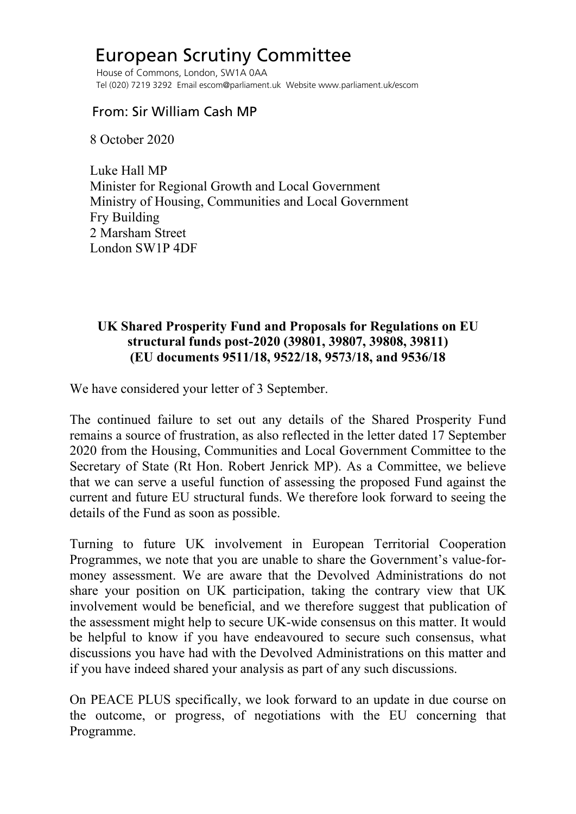## European Scrutiny Committee

 House of Commons, London, SW1A 0AA Tel (020) 7219 3292 Email escom@parliament.uk Website www.parliament.uk/escom

## From: Sir William Cash MP

8 October 2020

 Luke Hall MP Minister for Regional Growth and Local Government Ministry of Housing, Communities and Local Government Fry Building 2 Marsham Street London SW1P 4DF

## **UK Shared Prosperity Fund and Proposals for Regulations on EU structural funds post-2020 (39801, 39807, 39808, 39811) (EU documents 9511/18, 9522/18, 9573/18, and 9536/18**

We have considered your letter of 3 September.

The continued failure to set out any details of the Shared Prosperity Fund remains a source of frustration, as also reflected in the letter dated 17 September 2020 from the Housing, Communities and Local Government Committee to the Secretary of State (Rt Hon. Robert Jenrick MP). As a Committee, we believe that we can serve a useful function of assessing the proposed Fund against the current and future EU structural funds. We therefore look forward to seeing the details of the Fund as soon as possible.

Turning to future UK involvement in European Territorial Cooperation Programmes, we note that you are unable to share the Government's value-formoney assessment. We are aware that the Devolved Administrations do not share your position on UK participation, taking the contrary view that UK involvement would be beneficial, and we therefore suggest that publication of the assessment might help to secure UK-wide consensus on this matter. It would be helpful to know if you have endeavoured to secure such consensus, what discussions you have had with the Devolved Administrations on this matter and if you have indeed shared your analysis as part of any such discussions.

On PEACE PLUS specifically, we look forward to an update in due course on the outcome, or progress, of negotiations with the EU concerning that Programme.